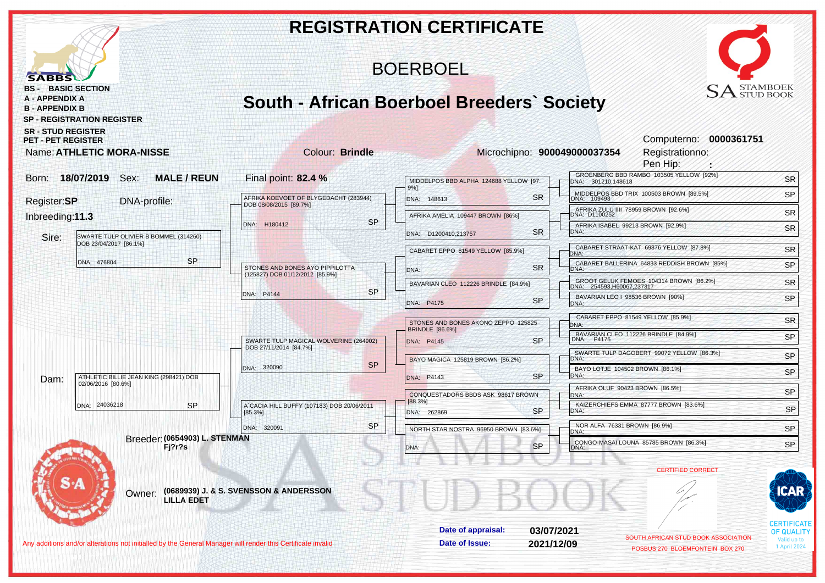|                                                                                                                                                                                                              |                                                                    | <b>REGISTRATION CERTIFICATE</b>                                                   |                                                                                      |                                         |
|--------------------------------------------------------------------------------------------------------------------------------------------------------------------------------------------------------------|--------------------------------------------------------------------|-----------------------------------------------------------------------------------|--------------------------------------------------------------------------------------|-----------------------------------------|
| <b>SABBS</b>                                                                                                                                                                                                 |                                                                    | <b>BOERBOEL</b>                                                                   |                                                                                      |                                         |
| <b>BS - BASIC SECTION</b><br><b>A - APPENDIX A</b><br><b>B-APPENDIX B</b><br><b>SP - REGISTRATION REGISTER</b><br><b>SR - STUD REGISTER</b><br><b>PET - PET REGISTER</b><br><b>Name: ATHLETIC MORA-NISSE</b> | <b>Colour: Brindle</b>                                             | <b>South - African Boerboel Breeders' Society</b><br>Microchipno: 900049000037354 | <b>SA</b> STAMBOEK<br>Computerno: 0000361751<br>Registrationno:<br>Pen Hip:          |                                         |
| 18/07/2019 Sex:<br><b>MALE/REUN</b><br>Born:                                                                                                                                                                 | Final point: 82.4 %                                                | MIDDELPOS BBD ALPHA 124688 YELLOW [97.                                            | GROENBERG BBD RAMBO 103505 YELLOW [92%]<br>DNA: 301210,148618                        | <b>SR</b>                               |
| Register:SP<br>DNA-profile:                                                                                                                                                                                  | AFRIKA KOEVOET OF BLYGEDACHT (283944)                              | 9%]<br><b>SR</b><br>DNA: 148613                                                   | MIDDELPOS BBD TRIX 100503 BROWN [89.5%]                                              | SP                                      |
| Inbreeding:11.3                                                                                                                                                                                              | DOB 08/08/2015 [89.7%]<br><b>SP</b>                                | AFRIKA AMELIA 109447 BROWN [86%]                                                  | AFRIKA ZULU IIII 78959 BROWN [92.6%]<br>DNA: D1100252                                | <b>SR</b>                               |
| Sire:<br>SWARTE TULP OLIVIER B BOMMEL (314260)                                                                                                                                                               | DNA: H180412                                                       | <b>SR</b><br>DNA: D1200410.213757                                                 | AFRIKA ISABEL 99213 BROWN [92.9%]<br>DNA:                                            | <b>SR</b>                               |
| DOB 23/04/2017 [86.1%]                                                                                                                                                                                       |                                                                    | CABARET EPPO 81549 YELLOW [85.9%]                                                 | CABARET STRAAT-KAT 69876 YELLOW [87.8%]<br>DNA:                                      | <b>SR</b>                               |
| <b>SP</b><br>DNA: 476804                                                                                                                                                                                     | STONES AND BONES AYO PIPPILOTTA<br>(125827) DOB 01/12/2012 [85.9%] | <b>SR</b><br>DNA:                                                                 | CABARET BALLERINA 64833 REDDISH BROWN [85%]<br>DNA:                                  | SP                                      |
|                                                                                                                                                                                                              | <b>SP</b><br>DNA: P4144                                            | BAVARIAN CLEO 112226 BRINDLE [84.9%]                                              | GROOT GELUK FEMOES 104314 BROWN [86.2%]<br>DNA: 254593, H60067, 237317               | <b>SR</b>                               |
|                                                                                                                                                                                                              |                                                                    | <b>SP</b><br>DNA: P4175                                                           | BAVARIAN LEO   98536 BROWN [90%]<br>DNA:                                             | SP                                      |
|                                                                                                                                                                                                              |                                                                    | STONES AND BONES AKONO ZEPPO 125825<br><b>BRINDLE</b> [86.6%]                     | CABARET EPPO 81549 YELLOW [85.9%]<br>DNA:                                            | <b>SR</b>                               |
|                                                                                                                                                                                                              | SWARTE TULP MAGICAL WOLVERINE (264902)<br>DOB 27/11/2014 [84.7%]   | <b>SP</b><br>DNA: P4145                                                           | BAVARIAN CLEO 112226 BRINDLE [84.9%]<br>DNA: P4175                                   | SP                                      |
|                                                                                                                                                                                                              | <b>SP</b>                                                          | BAYO MAGICA 125819 BROWN [86.2%]                                                  | SWARTE TULP DAGOBERT 99072 YELLOW [86.3%]<br>DNA:                                    | SP                                      |
| ATHLETIC BILLIE JEAN KING (298421) DOB<br>Dam:<br>02/06/2016 [80.6%]                                                                                                                                         | DNA: 320090                                                        | <b>SP</b><br>DNA: P4143                                                           | BAYO LOTJE 104502 BROWN [86.1%]<br>DNA:                                              | SP                                      |
|                                                                                                                                                                                                              |                                                                    | CONQUESTADORS BBDS ASK 98617 BROWN<br>[88.3%]                                     | AFRIKA OLUF 90423 BROWN [86.5%]<br>DNA:                                              | SP                                      |
| DNA: 24036218<br><b>SP</b>                                                                                                                                                                                   | A`CACIA HILL BUFFY (107183) DOB 20/06/2011<br>[85.3%]              | <b>SP</b><br>DNA: 262869                                                          | KAIZERCHIEFS EMMA 87777 BROWN [83.6%]<br>DNA:                                        | <b>SP</b>                               |
|                                                                                                                                                                                                              | <b>SP</b><br>DNA: 320091                                           | NORTH STAR NOSTRA 96950 BROWN [83.6%]                                             | NOR ALFA 76331 BROWN [86.9%]<br>DNA:                                                 | SP                                      |
| Breeder: (0654903) L. STENMAN<br>Fj?r?s                                                                                                                                                                      |                                                                    | <b>QD</b>                                                                         | CONGO-MASAI LOUNA 85785 BROWN [86.3%]<br>DNA:                                        | SP                                      |
|                                                                                                                                                                                                              |                                                                    |                                                                                   | <b>CERTIFIED CORRECT</b>                                                             |                                         |
| Owner:<br><b>LILLA EDET</b>                                                                                                                                                                                  | (0689939) J. & S. SVENSSON & ANDERSSON                             |                                                                                   |                                                                                      | CAR                                     |
|                                                                                                                                                                                                              |                                                                    | Date of appraisal:                                                                | 03/07/2021                                                                           | <b>CERTIFICATE</b><br><b>OF QUALITY</b> |
| Any additions and/or alterations not initialled by the General Manager will render this Certificate invalid                                                                                                  |                                                                    | Date of Issue:                                                                    | SOUTH AFRICAN STUD BOOK ASSOCIATION<br>2021/12/09<br>POSBUS 270 BLOEMFONTEIN BOX 270 | Valid up to<br>1 April 2024             |
|                                                                                                                                                                                                              |                                                                    |                                                                                   |                                                                                      |                                         |